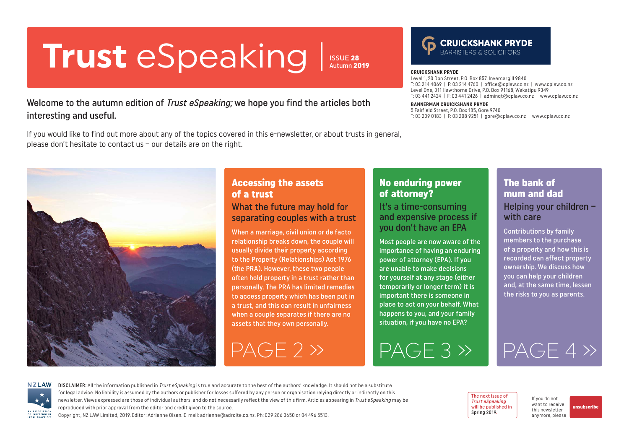# <span id="page-0-0"></span>**Trust** eSpeaking **CRUICKSHANK PRYDE**

ISSUE 28 Autumn 2019

### Welcome to the autumn edition of *Trust eSpeaking*; we hope you find the articles both interesting and useful.

If you would like to find out more about any of the topics covered in this e-newsletter, or about trusts in general, please don't hesitate to contact us – our details are on the right.

Level 1, 20 Don Street, P.O. Box 857, Invercargill 9840 T: 03 214 4069 | F: 03 214 4760 | office@cplaw.co.nz | www.cplaw.co.nz Level One, 311 Hawthorne Drive, P.O. Box 91168, Wakatipu 9349 T: 03 441 2424 | F: 03 441 2426 | adminqt@cplaw.co.nz | www.cplaw.co.nz

#### **BANNERMAN CRUICKSHANK PRYDE**

5 Fairfield Street, P.O. Box 185, Gore 9740 T: 03 209 0183 | F: 03 208 9251 | gore@cplaw.co.nz | www.cplaw.co.nz



## Accessing the assets of a trust

#### What the future may hold for separating couples with a trust

When a marriage, civil union or de facto relationship breaks down, the couple will usually divide their property according to the Property (Relationships) Act 1976 (the PRA). However, these two people often hold property in a trust rather than personally. The PRA has limited remedies to access property which has been put in a trust, and this can result in unfairness when a couple separates if there are no assets that they own personally.

## No enduring power of attorney?

It's a time-consuming and expensive process if you don't have an EPA

Most people are now aware of the importance of having an enduring power of attorney (EPA). If you are unable to make decisions for yourself at any stage (either temporarily or longer term) it is important there is someone in place to act on your behalf. What happens to you, and your family situation, if you have no EPA?

[PAGE 2 »](#page-1-0) [PAGE 3 »](#page-2-0) [PAGE 4 »](#page-3-0)

### The bank of mum and dad Helping your children – with care

Contributions by family members to the purchase of a property and how this is recorded can affect property ownership. We discuss how you can help your children and, at the same time, lessen the risks to you as parents.



DISCLAIMER: All the information published in Trust eSpeaking is true and accurate to the best of the authors' knowledge. It should not be a substitute for legal advice. No liability is assumed by the authors or publisher for losses suffered by any person or organisation relying directly or indirectly on this newsletter. Views expressed are those of individual authors, and do not necessarily reflect the view of this firm. Articles appearing in Trust eSpeaking may be reproduced with prior approval from the editor and credit given to the source.

Copyright, NZ LAW Limited, 2019. Editor: Adrienne Olsen. [E-mail: adrienne@adroite.co.nz](mailto:adrienne@adroite.co.nz). Ph: 029 286 3650 or 04 496 5513.

The next issue of Trust eSpeaking will be published in Spring 2019

If you do not want to receive this newsletter anymore, please

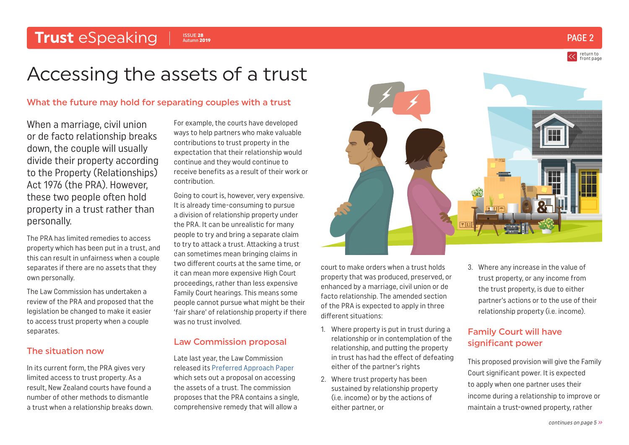## <span id="page-1-0"></span>**Trust** eSpeaking PAGE 2

ISSUE 28 Autumn 2019

## Accessing the assets of a trust

#### What the future may hold for separating couples with a trust

When a marriage, civil union or de facto relationship breaks down, the couple will usually divide their property according to the Property (Relationships) Act 1976 (the PRA). However, these two people often hold property in a trust rather than personally.

The PRA has limited remedies to access property which has been put in a trust, and this can result in unfairness when a couple separates if there are no assets that they own personally.

The Law Commission has undertaken a review of the PRA and proposed that the legislation be changed to make it easier to access trust property when a couple separates.

#### The situation now

In its current form, the PRA gives very limited access to trust property. As a result, New Zealand courts have found a number of other methods to dismantle a trust when a relationship breaks down. For example, the courts have developed ways to help partners who make valuable contributions to trust property in the expectation that their relationship would continue and they would continue to receive benefits as a result of their work or contribution.

Going to court is, however, very expensive. It is already time-consuming to pursue a division of relationship property under the PRA. It can be unrealistic for many people to try and bring a separate claim to try to attack a trust. Attacking a trust can sometimes mean bringing claims in two different courts at the same time, or it can mean more expensive High Court proceedings, rather than less expensive Family Court hearings. This means some people cannot pursue what might be their 'fair share' of relationship property if there was no trust involved.

#### Law Commission proposal

Late last year, the Law Commission released its [Preferred Approach Paper](https://lawcom.govt.nz/sites/default/files/projectAvailableFormats/PRA%20-%20Preferred%20Approach%20-%20Issue%20Paper%2044%20-%20Final.pdf) which sets out a proposal on accessing the assets of a trust. The commission proposes that the PRA contains a single, comprehensive remedy that will allow a



court to make orders when a trust holds property that was produced, preserved, or enhanced by a marriage, civil union or de facto relationship. The amended section of the PRA is expected to apply in three different situations:

- 1. Where property is put in trust during a relationship or in contemplation of the relationship, and putting the property in trust has had the effect of defeating either of the partner's rights
- 2. Where trust property has been sustained by relationship property (i.e. income) or by the actions of either partner, or

3. Where any increase in the value of trust property, or any income from the trust property, is due to either partner's actions or to the use of their relationship property (i.e. income).

### Family Court will have significant power

This proposed provision will give the Family Court significant power. It is expected to apply when one partner uses their income during a relationship to improve or maintain a trust-owned property, rather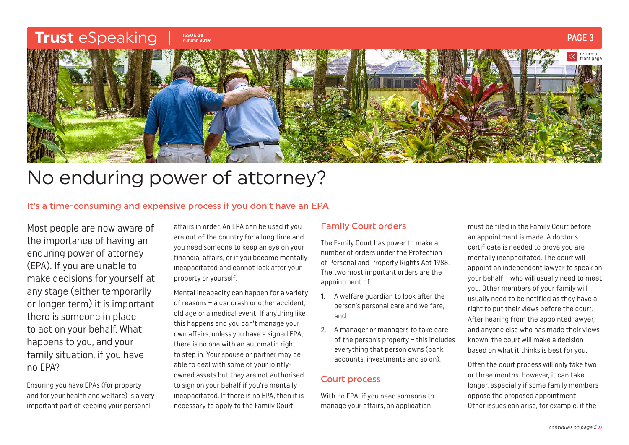<span id="page-2-0"></span>

## No enduring power of attorney?

#### It's a time-consuming and expensive process if you don't have an EPA

Most people are now aware of the importance of having an enduring power of attorney (EPA). If you are unable to make decisions for yourself at any stage (either temporarily or longer term) it is important there is someone in place to act on your behalf. What happens to you, and your family situation, if you have no EPA?

Ensuring you have EPAs (for property and for your health and welfare) is a very important part of keeping your personal

affairs in order. An EPA can be used if you are out of the country for a long time and you need someone to keep an eye on your financial affairs, or if you become mentally incapacitated and cannot look after your property or yourself.

Mental incapacity can happen for a variety of reasons – a car crash or other accident, old age or a medical event. If anything like this happens and you can't manage your own affairs, unless you have a signed EPA, there is no one with an automatic right to step in. Your spouse or partner may be able to deal with some of your jointlyowned assets but they are not authorised to sign on your behalf if you're mentally incapacitated. If there is no EPA, then it is necessary to apply to the Family Court.

#### Family Court orders

The Family Court has power to make a number of orders under the Protection of Personal and Property Rights Act 1988. The two most important orders are the appointment of:

- 1. A welfare guardian to look after the person's personal care and welfare, and
- 2. A manager or managers to take care of the person's property – this includes everything that person owns (bank accounts, investments and so on).

#### Court process

With no EPA, if you need someone to manage your affairs, an application

must be filed in the Family Court before an appointment is made. A doctor's certificate is needed to prove you are mentally incapacitated. The court will appoint an independent lawyer to speak on your behalf – who will usually need to meet you. Other members of your family will usually need to be notified as they have a right to put their views before the court. After hearing from the appointed lawyer, and anyone else who has made their views known, the court will make a decision based on what it thinks is best for you.

Often the court process will only take two or three months. However, it can take longer, especially if some family members oppose the proposed appointment. Other issues can arise, for example, if the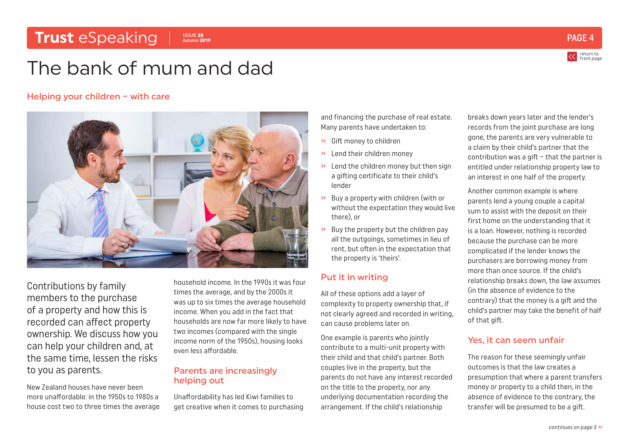#### <span id="page-3-0"></span>**Trust** eSpeaking PAGE 28 and the second experiment of the second experiment of the second experiment of the second experiment of the second experiment of the second experiment of the second experiment of the second experi ISSUE 28 Autumn 2019

return to [front page](#page-0-0)

## The bank of mum and dad

#### Helping your children – with care



Contributions by family members to the purchase of a property and how this is recorded can affect property ownership. We discuss how you can help your children and, at the same time, lessen the risks to you as parents.

New Zealand houses have never been more unaffordable: in the 1950s to 1980s a house cost two to three times the average household income. In the 1990s it was four times the average, and by the 2000s it was up to six times the average household income. When you add in the fact that households are now far more likely to have two incomes (compared with the single income norm of the 1950s), housing looks even less affordable.

#### Parents are increasingly helping out

Unaffordability has led Kiwi families to get creative when it comes to purchasing and financing the purchase of real estate. Many parents have undertaken to:

- » Gift money to children
- » Lend their children money
- » Lend the children money but then sign a gifting certificate to their child's lender
- » Buy a property with children (with or without the expectation they would live there), or
- $\rightarrow$  Buy the property but the children pay all the outgoings, sometimes in lieu of rent, but often in the expectation that the property is 'theirs'.

#### Put it in writing

All of these options add a layer of complexity to property ownership that, if not clearly agreed and recorded in writing, can cause problems later on.

One example is parents who jointly contribute to a multi-unit property with their child and that child's partner. Both couples live in the property, but the parents do not have any interest recorded on the title to the property, nor any underlying documentation recording the arrangement. If the child's relationship

breaks down years later and the lender's records from the joint purchase are long gone, the parents are very vulnerable to a claim by their child's partner that the contribution was a gift – that the partner is entitled under relationship property law to an interest in one half of the property.

Another common example is where parents lend a young couple a capital sum to assist with the deposit on their first home on the understanding that it is a loan. However, nothing is recorded because the purchase can be more complicated if the lender knows the purchasers are borrowing money from more than once source. If the child's relationship breaks down, the law assumes (in the absence of evidence to the contrary) that the money is a gift and the child's partner may take the benefit of half of that gift.

### Yes, it can seem unfair

The reason for these seemingly unfair outcomes is that the law creates a presumption that where a parent transfers money or property to a child then, in the absence of evidence to the contrary, the transfer will be presumed to be a gift.